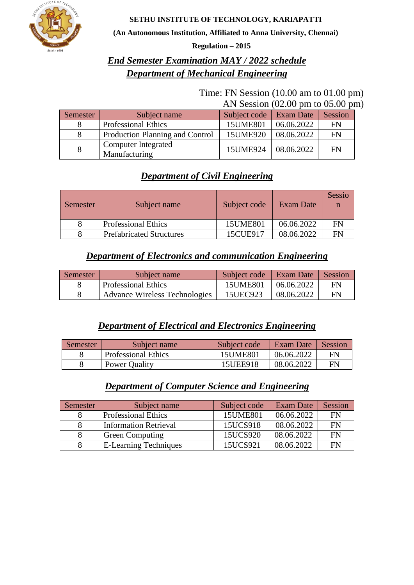

#### **SETHU INSTITUTE OF TECHNOLOGY, KARIAPATTI**

**(An Autonomous Institution, Affiliated to Anna University, Chennai)**

**Regulation – 2015**

# *End Semester Examination MAY / 2022 schedule Department of Mechanical Engineering*

#### Time: FN Session (10.00 am to 01.00 pm) AN Session (02.00 pm to 05.00 pm)

| Semester | Subject name                         | Subject code | Exam Date  | Session   |
|----------|--------------------------------------|--------------|------------|-----------|
|          | <b>Professional Ethics</b>           | 15UME801     | 06.06.2022 | FN        |
|          | Production Planning and Control      | 15UME920     | 08.06.2022 | <b>FN</b> |
| 8        | Computer Integrated<br>Manufacturing | 15UME924     | 08.06.2022 | FN        |

# *Department of Civil Engineering*

| Semester | Subject name                    | Subject code | Exam Date  | Sessio |
|----------|---------------------------------|--------------|------------|--------|
|          | <b>Professional Ethics</b>      | 15UME801     | 06.06.2022 | FN     |
|          | <b>Prefabricated Structures</b> | 15CUE917     | 08.06.2022 | FN     |

## *Department of Electronics and communication Engineering*

| Semester | Subject name                         | Subject code | Exam Date  | Session |
|----------|--------------------------------------|--------------|------------|---------|
|          | <b>Professional Ethics</b>           | 15UME801     | 06.06.2022 | FN      |
|          | <b>Advance Wireless Technologies</b> | 15UEC923     | 08.06.2022 | FN      |

# *Department of Electrical and Electronics Engineering*

| Semester | Subject name               | Subject code | Exam Date  | Session |
|----------|----------------------------|--------------|------------|---------|
|          | <b>Professional Ethics</b> | 15UME801     | 06.06.2022 | FN      |
|          | Power Quality              | 15UEE918     | 08.06.2022 | FN      |

# *Department of Computer Science and Engineering*

| Semester | Subject name                 | Subject code | Exam Date  | Session |
|----------|------------------------------|--------------|------------|---------|
|          | <b>Professional Ethics</b>   | 15UME801     | 06.06.2022 | FN      |
|          | <b>Information Retrieval</b> | 15UCS918     | 08.06.2022 | FN      |
|          | <b>Green Computing</b>       | 15UCS920     | 08.06.2022 | FN      |
|          | <b>E-Learning Techniques</b> | 15UCS921     | 08.06.2022 | FN      |